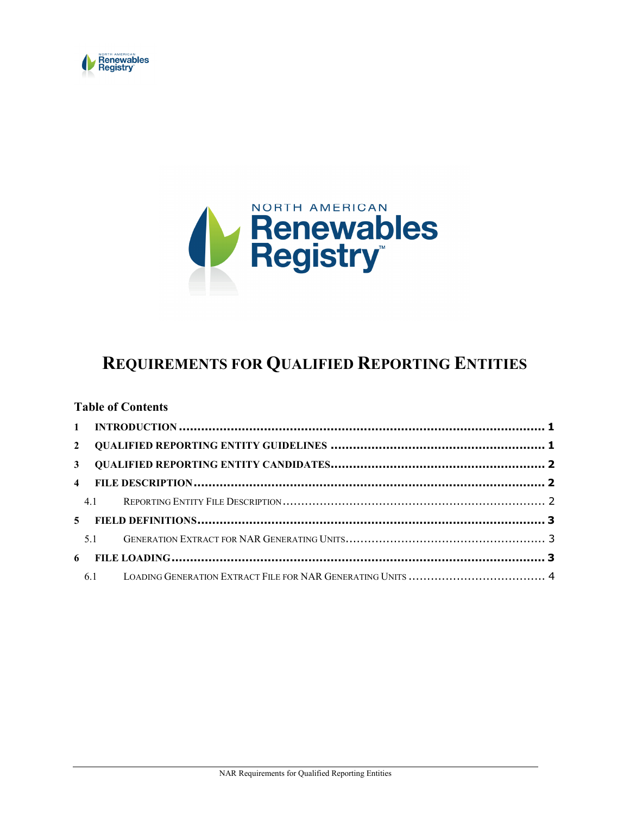



# REQUIREMENTS FOR QUALIFIED REPORTING ENTITIES

#### Table of Contents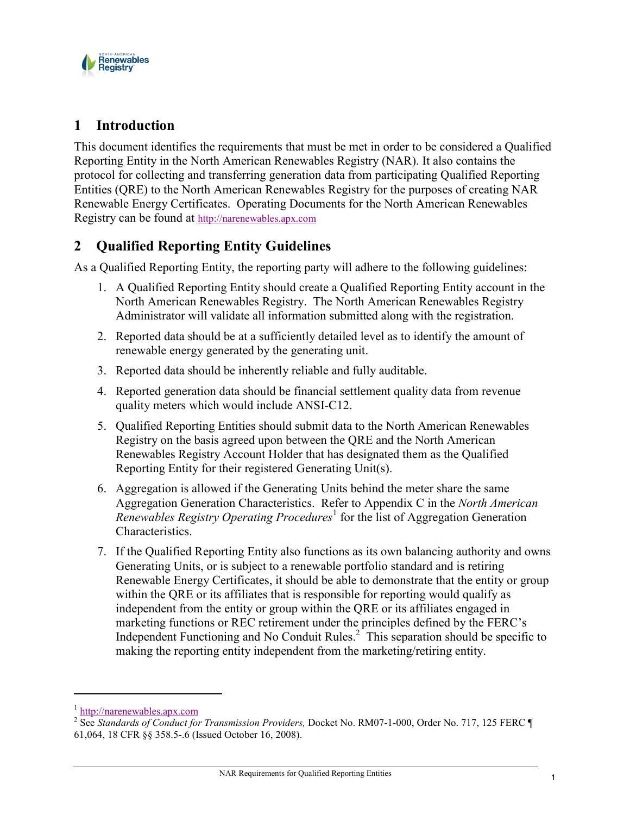

# 1 Introduction

This document identifies the requirements that must be met in order to be considered a Qualified Reporting Entity in the North American Renewables Registry (NAR). It also contains the protocol for collecting and transferring generation data from participating Qualified Reporting Entities (QRE) to the North American Renewables Registry for the purposes of creating NAR Renewable Energy Certificates. Operating Documents for the North American Renewables Registry can be found at http://narenewables.apx.com

# 2 Qualified Reporting Entity Guidelines

As a Qualified Reporting Entity, the reporting party will adhere to the following guidelines:

- 1. A Qualified Reporting Entity should create a Qualified Reporting Entity account in the North American Renewables Registry. The North American Renewables Registry Administrator will validate all information submitted along with the registration.
- 2. Reported data should be at a sufficiently detailed level as to identify the amount of renewable energy generated by the generating unit.
- 3. Reported data should be inherently reliable and fully auditable.
- 4. Reported generation data should be financial settlement quality data from revenue quality meters which would include ANSI-C12.
- 5. Qualified Reporting Entities should submit data to the North American Renewables Registry on the basis agreed upon between the QRE and the North American Renewables Registry Account Holder that has designated them as the Qualified Reporting Entity for their registered Generating Unit(s).
- 6. Aggregation is allowed if the Generating Units behind the meter share the same Aggregation Generation Characteristics. Refer to Appendix C in the North American Renewables Registry Operating Procedures<sup>1</sup> for the list of Aggregation Generation Characteristics.
- 7. If the Qualified Reporting Entity also functions as its own balancing authority and owns Generating Units, or is subject to a renewable portfolio standard and is retiring Renewable Energy Certificates, it should be able to demonstrate that the entity or group within the QRE or its affiliates that is responsible for reporting would qualify as independent from the entity or group within the QRE or its affiliates engaged in marketing functions or REC retirement under the principles defined by the FERC's Independent Functioning and No Conduit Rules.<sup>2</sup> This separation should be specific to making the reporting entity independent from the marketing/retiring entity.

l

<sup>1</sup> http://narenewables.apx.com

<sup>&</sup>lt;sup>2</sup> See Standards of Conduct for Transmission Providers, Docket No. RM07-1-000, Order No. 717, 125 FERC  $\P$ 61,064, 18 CFR §§ 358.5-.6 (Issued October 16, 2008).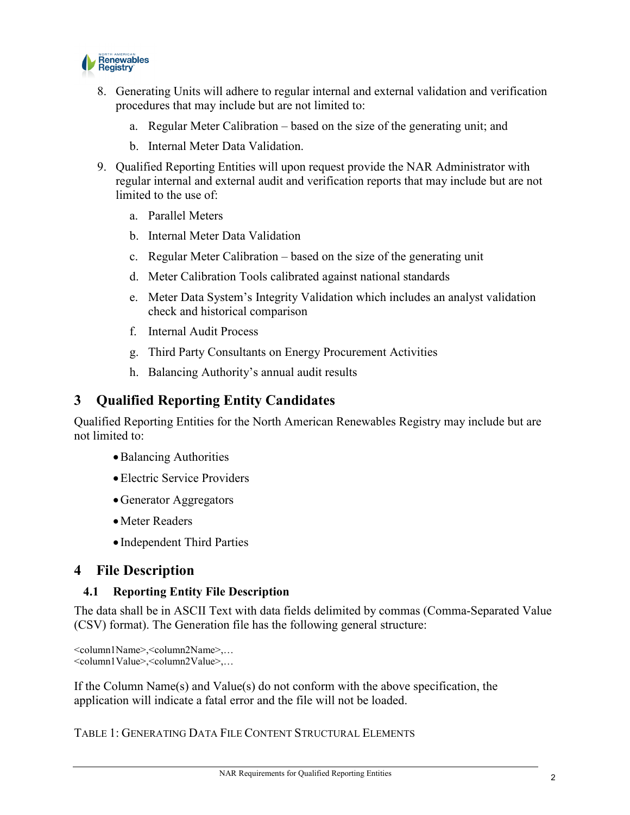

- 8. Generating Units will adhere to regular internal and external validation and verification procedures that may include but are not limited to:
	- a. Regular Meter Calibration based on the size of the generating unit; and
	- b. Internal Meter Data Validation.
- 9. Qualified Reporting Entities will upon request provide the NAR Administrator with regular internal and external audit and verification reports that may include but are not limited to the use of
	- a. Parallel Meters
	- b. Internal Meter Data Validation
	- c. Regular Meter Calibration based on the size of the generating unit
	- d. Meter Calibration Tools calibrated against national standards
	- e. Meter Data System's Integrity Validation which includes an analyst validation check and historical comparison
	- f. Internal Audit Process
	- g. Third Party Consultants on Energy Procurement Activities
	- h. Balancing Authority's annual audit results

### 3 Qualified Reporting Entity Candidates

Qualified Reporting Entities for the North American Renewables Registry may include but are not limited to:

- •Balancing Authorities
- •Electric Service Providers
- •Generator Aggregators
- •Meter Readers
- Independent Third Parties

### 4 File Description

#### 4.1 Reporting Entity File Description

The data shall be in ASCII Text with data fields delimited by commas (Comma-Separated Value (CSV) format). The Generation file has the following general structure:

```
<column1Name>,<column2Name>,…
<column1Value>,<column2Value>,…
```
If the Column Name(s) and Value(s) do not conform with the above specification, the application will indicate a fatal error and the file will not be loaded.

TABLE 1: GENERATING DATA FILE CONTENT STRUCTURAL ELEMENTS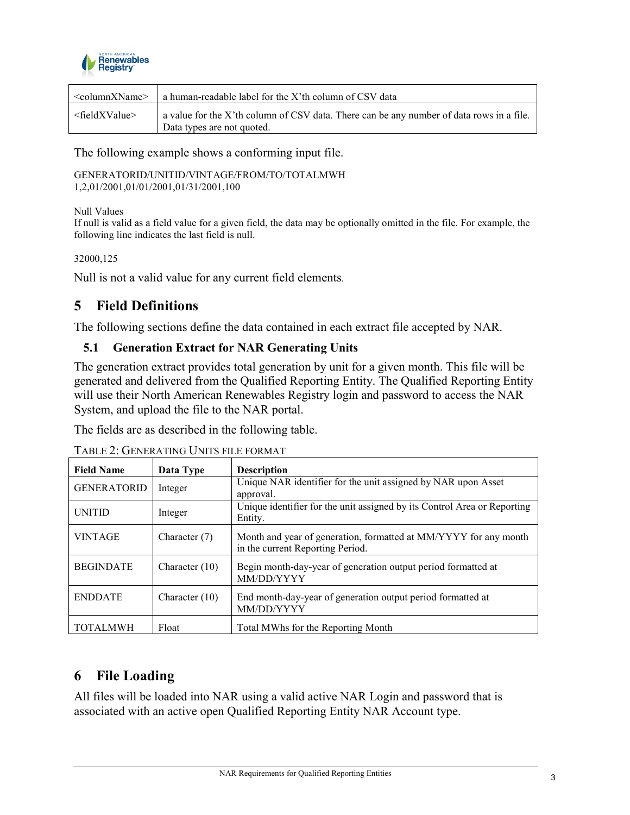

| $\leq$ columnXName $\geq$   | a human-readable label for the X'th column of CSV data                                                                 |
|-----------------------------|------------------------------------------------------------------------------------------------------------------------|
| <fieldxvalue></fieldxvalue> | a value for the X'th column of CSV data. There can be any number of data rows in a file.<br>Data types are not quoted. |

The following example shows a conforming input file.

GENERATORID/UNITID/VINTAGE/FROM/TO/TOTALMWH 1,2,01/2001,01/01/2001,01/31/2001,100

Null Values

If null is valid as a field value for a given field, the data may be optionally omitted in the file. For example, the following line indicates the last field is null.

32000,125

Null is not a valid value for any current field elements.

## 5 Field Definitions

The following sections define the data contained in each extract file accepted by NAR.

#### 5.1 Generation Extract for NAR Generating Units

The generation extract provides total generation by unit for a given month. This file will be generated and delivered from the Qualified Reporting Entity. The Qualified Reporting Entity will use their North American Renewables Registry login and password to access the NAR System, and upload the file to the NAR portal.

The fields are as described in the following table.

| <b>Field Name</b>  | Data Type        | <b>Description</b>                                                                                   |
|--------------------|------------------|------------------------------------------------------------------------------------------------------|
| <b>GENERATORID</b> | Integer          | Unique NAR identifier for the unit assigned by NAR upon Asset<br>approval.                           |
| <b>UNITID</b>      | Integer          | Unique identifier for the unit assigned by its Control Area or Reporting<br>Entity.                  |
| <b>VINTAGE</b>     | Character $(7)$  | Month and year of generation, formatted at MM/YYYY for any month<br>in the current Reporting Period. |
| <b>BEGINDATE</b>   | Character $(10)$ | Begin month-day-year of generation output period formatted at<br>MM/DD/YYYY                          |
| <b>ENDDATE</b>     | Character $(10)$ | End month-day-year of generation output period formatted at<br>MM/DD/YYYY                            |
| <b>TOTALMWH</b>    | Float            | Total MWhs for the Reporting Month                                                                   |

TABLE 2: GENERATING UNITS FILE FORMAT

## 6 File Loading

All files will be loaded into NAR using a valid active NAR Login and password that is associated with an active open Qualified Reporting Entity NAR Account type.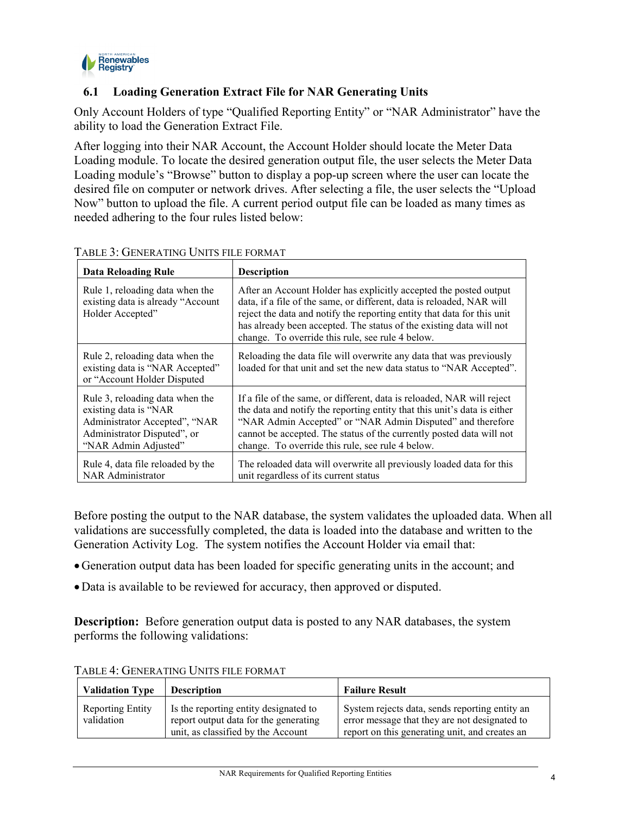

### 6.1 Loading Generation Extract File for NAR Generating Units

Only Account Holders of type "Qualified Reporting Entity" or "NAR Administrator" have the ability to load the Generation Extract File.

After logging into their NAR Account, the Account Holder should locate the Meter Data Loading module. To locate the desired generation output file, the user selects the Meter Data Loading module's "Browse" button to display a pop-up screen where the user can locate the desired file on computer or network drives. After selecting a file, the user selects the "Upload Now" button to upload the file. A current period output file can be loaded as many times as needed adhering to the four rules listed below:

| <b>Data Reloading Rule</b>                                                                                                                       | <b>Description</b>                                                                                                                                                                                                                                                                                                                               |  |
|--------------------------------------------------------------------------------------------------------------------------------------------------|--------------------------------------------------------------------------------------------------------------------------------------------------------------------------------------------------------------------------------------------------------------------------------------------------------------------------------------------------|--|
| Rule 1, reloading data when the<br>existing data is already "Account<br>Holder Accepted"                                                         | After an Account Holder has explicitly accepted the posted output<br>data, if a file of the same, or different, data is reloaded, NAR will<br>reject the data and notify the reporting entity that data for this unit<br>has already been accepted. The status of the existing data will not<br>change. To override this rule, see rule 4 below. |  |
| Rule 2, reloading data when the<br>existing data is "NAR Accepted"<br>or "Account Holder Disputed"                                               | Reloading the data file will overwrite any data that was previously<br>loaded for that unit and set the new data status to "NAR Accepted".                                                                                                                                                                                                       |  |
| Rule 3, reloading data when the<br>existing data is "NAR<br>Administrator Accepted", "NAR<br>Administrator Disputed", or<br>"NAR Admin Adjusted" | If a file of the same, or different, data is reloaded, NAR will reject<br>the data and notify the reporting entity that this unit's data is either<br>"NAR Admin Accepted" or "NAR Admin Disputed" and therefore<br>cannot be accepted. The status of the currently posted data will not<br>change. To override this rule, see rule 4 below.     |  |
| Rule 4, data file reloaded by the<br><b>NAR Administrator</b>                                                                                    | The reloaded data will overwrite all previously loaded data for this<br>unit regardless of its current status                                                                                                                                                                                                                                    |  |

TABLE 3: GENERATING UNITS FILE FORMAT

Before posting the output to the NAR database, the system validates the uploaded data. When all validations are successfully completed, the data is loaded into the database and written to the Generation Activity Log. The system notifies the Account Holder via email that:

- •Generation output data has been loaded for specific generating units in the account; and
- •Data is available to be reviewed for accuracy, then approved or disputed.

Description: Before generation output data is posted to any NAR databases, the system performs the following validations:

| <b>Validation Type</b>                | <b>Description</b>                                                                                                   | <b>Failure Result</b>                                                                                                                             |  |
|---------------------------------------|----------------------------------------------------------------------------------------------------------------------|---------------------------------------------------------------------------------------------------------------------------------------------------|--|
| <b>Reporting Entity</b><br>validation | Is the reporting entity designated to<br>report output data for the generating<br>unit, as classified by the Account | System rejects data, sends reporting entity an<br>error message that they are not designated to<br>report on this generating unit, and creates an |  |

TABLE 4: GENERATING UNITS FILE FORMAT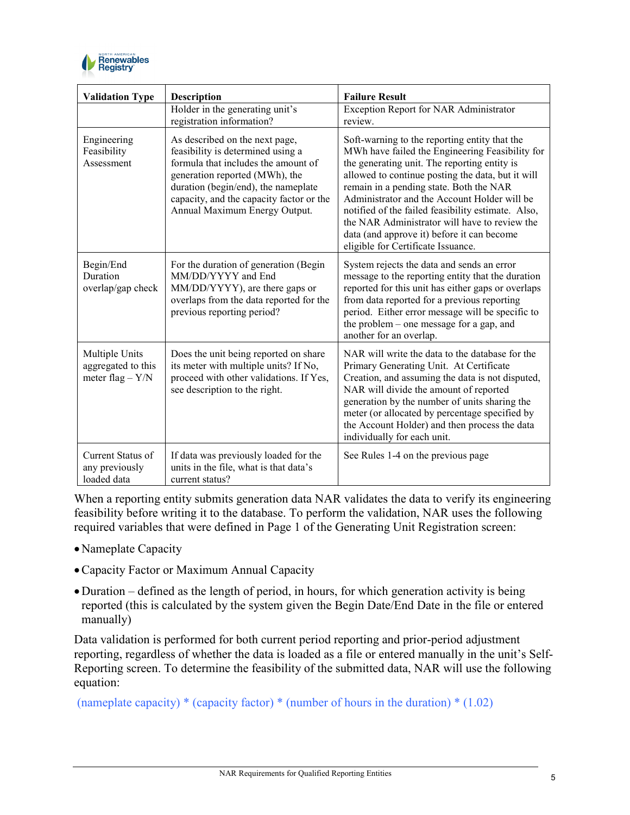

| <b>Validation Type</b>                                     | <b>Description</b>                                                                                                                                                                                                                                               | <b>Failure Result</b>                                                                                                                                                                                                                                                                                                                                                                                                                                                                       |
|------------------------------------------------------------|------------------------------------------------------------------------------------------------------------------------------------------------------------------------------------------------------------------------------------------------------------------|---------------------------------------------------------------------------------------------------------------------------------------------------------------------------------------------------------------------------------------------------------------------------------------------------------------------------------------------------------------------------------------------------------------------------------------------------------------------------------------------|
|                                                            | Holder in the generating unit's<br>registration information?                                                                                                                                                                                                     | Exception Report for NAR Administrator<br>review.                                                                                                                                                                                                                                                                                                                                                                                                                                           |
| Engineering<br>Feasibility<br>Assessment                   | As described on the next page,<br>feasibility is determined using a<br>formula that includes the amount of<br>generation reported (MWh), the<br>duration (begin/end), the nameplate<br>capacity, and the capacity factor or the<br>Annual Maximum Energy Output. | Soft-warning to the reporting entity that the<br>MWh have failed the Engineering Feasibility for<br>the generating unit. The reporting entity is<br>allowed to continue posting the data, but it will<br>remain in a pending state. Both the NAR<br>Administrator and the Account Holder will be<br>notified of the failed feasibility estimate. Also,<br>the NAR Administrator will have to review the<br>data (and approve it) before it can become<br>eligible for Certificate Issuance. |
| Begin/End<br>Duration<br>overlap/gap check                 | For the duration of generation (Begin<br>MM/DD/YYYY and End<br>MM/DD/YYYY), are there gaps or<br>overlaps from the data reported for the<br>previous reporting period?                                                                                           | System rejects the data and sends an error<br>message to the reporting entity that the duration<br>reported for this unit has either gaps or overlaps<br>from data reported for a previous reporting<br>period. Either error message will be specific to<br>the problem – one message for a gap, and<br>another for an overlap.                                                                                                                                                             |
| Multiple Units<br>aggregated to this<br>meter flag $-$ Y/N | Does the unit being reported on share<br>its meter with multiple units? If No,<br>proceed with other validations. If Yes,<br>see description to the right.                                                                                                       | NAR will write the data to the database for the<br>Primary Generating Unit. At Certificate<br>Creation, and assuming the data is not disputed,<br>NAR will divide the amount of reported<br>generation by the number of units sharing the<br>meter (or allocated by percentage specified by<br>the Account Holder) and then process the data<br>individually for each unit.                                                                                                                 |
| Current Status of<br>any previously<br>loaded data         | If data was previously loaded for the<br>units in the file, what is that data's<br>current status?                                                                                                                                                               | See Rules 1-4 on the previous page                                                                                                                                                                                                                                                                                                                                                                                                                                                          |

When a reporting entity submits generation data NAR validates the data to verify its engineering feasibility before writing it to the database. To perform the validation, NAR uses the following required variables that were defined in Page 1 of the Generating Unit Registration screen:

- •Nameplate Capacity
- •Capacity Factor or Maximum Annual Capacity
- Duration defined as the length of period, in hours, for which generation activity is being reported (this is calculated by the system given the Begin Date/End Date in the file or entered manually)

Data validation is performed for both current period reporting and prior-period adjustment reporting, regardless of whether the data is loaded as a file or entered manually in the unit's Self-Reporting screen. To determine the feasibility of the submitted data, NAR will use the following equation:

(nameplate capacity)  $*(\text{capacity factor}) * (\text{number of hours in the duration}) * (1.02)$